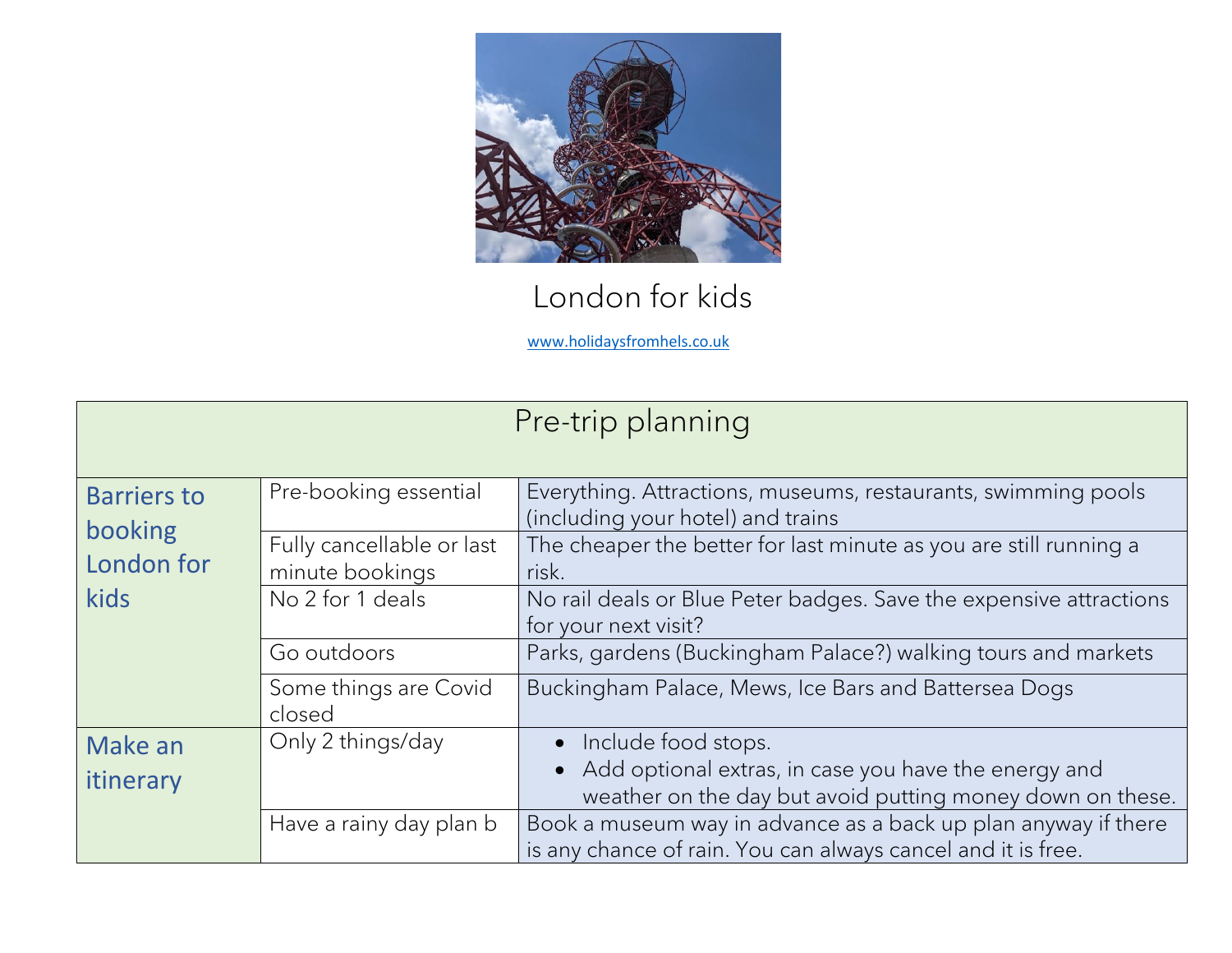

## London for kids

[www.holidaysfromhels.co.uk](http://www.holidaysfromhels.co.uk/)

| Pre-trip planning             |                                              |                                                                                                                                |  |
|-------------------------------|----------------------------------------------|--------------------------------------------------------------------------------------------------------------------------------|--|
| <b>Barriers to</b><br>booking | Pre-booking essential                        | Everything. Attractions, museums, restaurants, swimming pools<br>(including your hotel) and trains                             |  |
| London for                    | Fully cancellable or last<br>minute bookings | The cheaper the better for last minute as you are still running a<br>risk.                                                     |  |
| kids                          | No 2 for 1 deals                             | No rail deals or Blue Peter badges. Save the expensive attractions<br>for your next visit?                                     |  |
|                               | Go outdoors                                  | Parks, gardens (Buckingham Palace?) walking tours and markets                                                                  |  |
|                               | Some things are Covid<br>closed              | Buckingham Palace, Mews, Ice Bars and Battersea Dogs                                                                           |  |
| Make an                       | Only 2 things/day                            | Include food stops.<br>$\bullet$                                                                                               |  |
| itinerary                     |                                              | Add optional extras, in case you have the energy and<br>$\bullet$<br>weather on the day but avoid putting money down on these. |  |
|                               | Have a rainy day plan b                      | Book a museum way in advance as a back up plan anyway if there<br>is any chance of rain. You can always cancel and it is free. |  |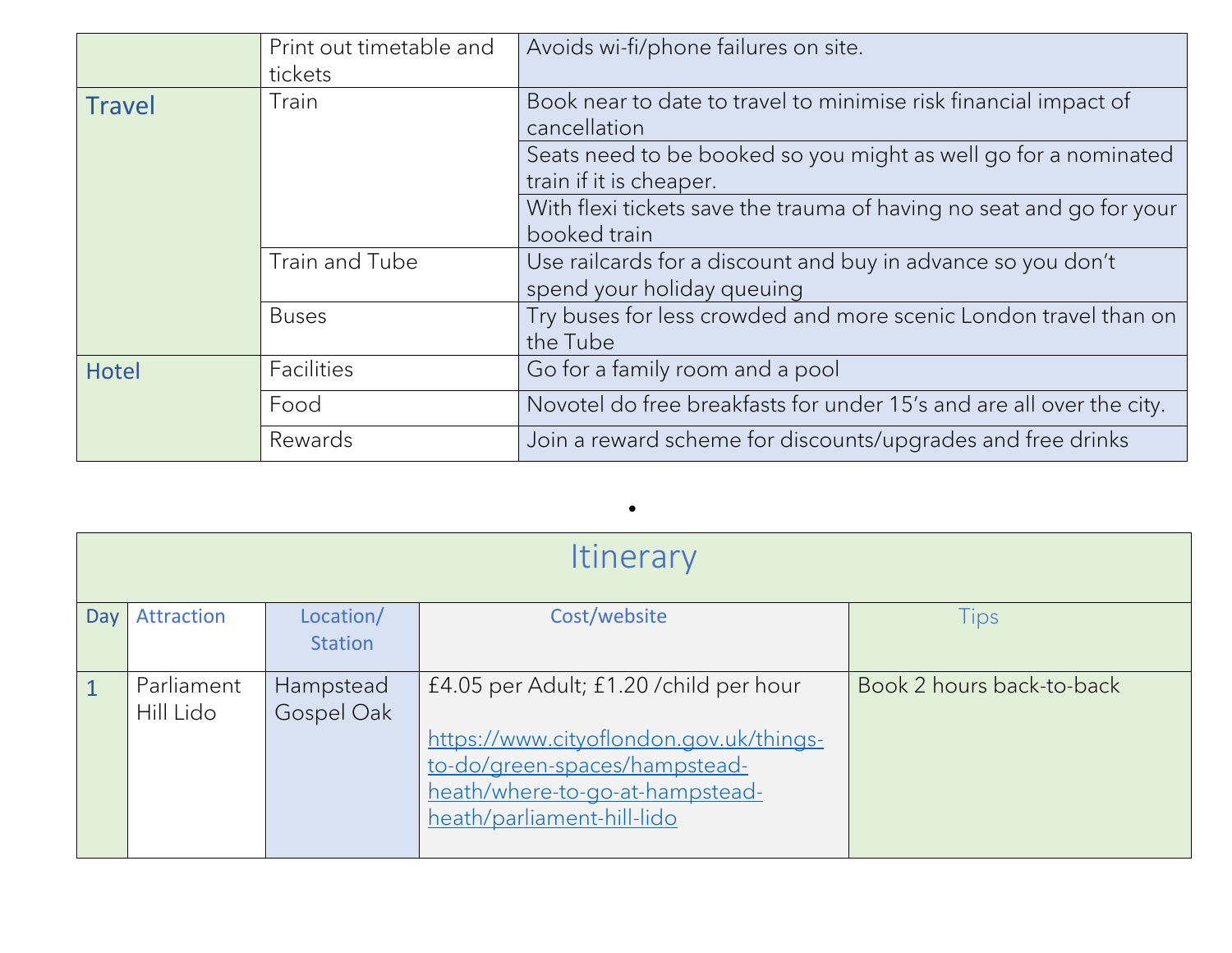|               | Print out timetable and                                                   | Avoids wi-fi/phone failures on site.                                 |  |
|---------------|---------------------------------------------------------------------------|----------------------------------------------------------------------|--|
|               | tickets                                                                   |                                                                      |  |
| <b>Travel</b> | Book near to date to travel to minimise risk financial impact of<br>Train |                                                                      |  |
|               |                                                                           | cancellation                                                         |  |
|               |                                                                           | Seats need to be booked so you might as well go for a nominated      |  |
|               |                                                                           | train if it is cheaper.                                              |  |
|               |                                                                           | With flexi tickets save the trauma of having no seat and go for your |  |
|               |                                                                           | booked train                                                         |  |
|               | Train and Tube                                                            | Use railcards for a discount and buy in advance so you don't         |  |
|               |                                                                           | spend your holiday queuing                                           |  |
|               | <b>Buses</b>                                                              | Try buses for less crowded and more scenic London travel than on     |  |
|               |                                                                           | the Tube                                                             |  |
| Hotel         | <b>Facilities</b>                                                         | Go for a family room and a pool                                      |  |
|               | Food                                                                      | Novotel do free breakfasts for under 15's and are all over the city. |  |
|               | Rewards                                                                   | Join a reward scheme for discounts/upgrades and free drinks          |  |

| <b>Itinerary</b> |                         |                             |                                                                                                                                                                                      |                           |
|------------------|-------------------------|-----------------------------|--------------------------------------------------------------------------------------------------------------------------------------------------------------------------------------|---------------------------|
| Day              | Attraction              | Location/<br><b>Station</b> | Cost/website                                                                                                                                                                         | <b>Tips</b>               |
| $\sqrt{1}$       | Parliament<br>Hill Lido | Hampstead<br>Gospel Oak     | £4.05 per Adult; £1.20 / child per hour<br>https://www.cityoflondon.gov.uk/things-<br>to-do/green-spaces/hampstead-<br>heath/where-to-go-at-hampstead-<br>heath/parliament-hill-lido | Book 2 hours back-to-back |

•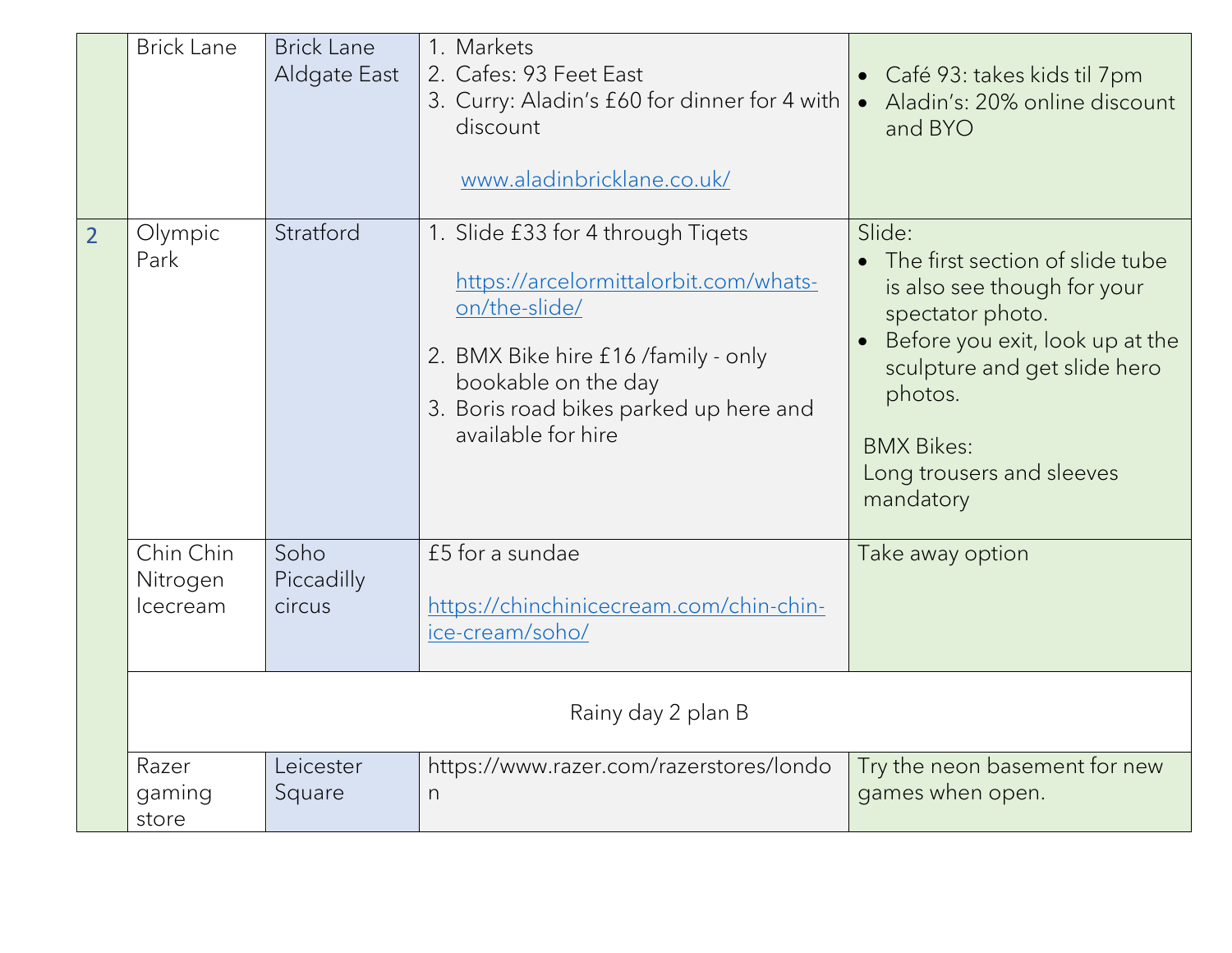|                | <b>Brick Lane</b>                 | <b>Brick Lane</b><br>Aldgate East | 1. Markets<br>2. Cafes: 93 Feet East<br>3. Curry: Aladin's £60 for dinner for 4 with<br>discount<br>www.aladinbricklane.co.uk/                                                                                            | Café 93: takes kids til 7pm<br>$\bullet$<br>Aladin's: 20% online discount<br>$\bullet$<br>and BYO                                                                                                                                         |
|----------------|-----------------------------------|-----------------------------------|---------------------------------------------------------------------------------------------------------------------------------------------------------------------------------------------------------------------------|-------------------------------------------------------------------------------------------------------------------------------------------------------------------------------------------------------------------------------------------|
| $\overline{2}$ | Olympic<br>Park                   | Stratford                         | 1. Slide £33 for 4 through Tigets<br>https://arcelormittalorbit.com/whats-<br>on/the-slide/<br>2. BMX Bike hire £16 /family - only<br>bookable on the day<br>3. Boris road bikes parked up here and<br>available for hire | Slide:<br>The first section of slide tube<br>is also see though for your<br>spectator photo.<br>Before you exit, look up at the<br>sculpture and get slide hero<br>photos.<br><b>BMX Bikes:</b><br>Long trousers and sleeves<br>mandatory |
|                | Chin Chin<br>Nitrogen<br>Icecream | Soho<br>Piccadilly<br>circus      | £5 for a sundae<br>https://chinchinicecream.com/chin-chin-<br>ice-cream/soho/                                                                                                                                             | Take away option                                                                                                                                                                                                                          |
|                | Rainy day 2 plan B                |                                   |                                                                                                                                                                                                                           |                                                                                                                                                                                                                                           |
|                | Razer<br>gaming<br>store          | Leicester<br>Square               | https://www.razer.com/razerstores/londo<br>$\Gamma$                                                                                                                                                                       | Try the neon basement for new<br>games when open.                                                                                                                                                                                         |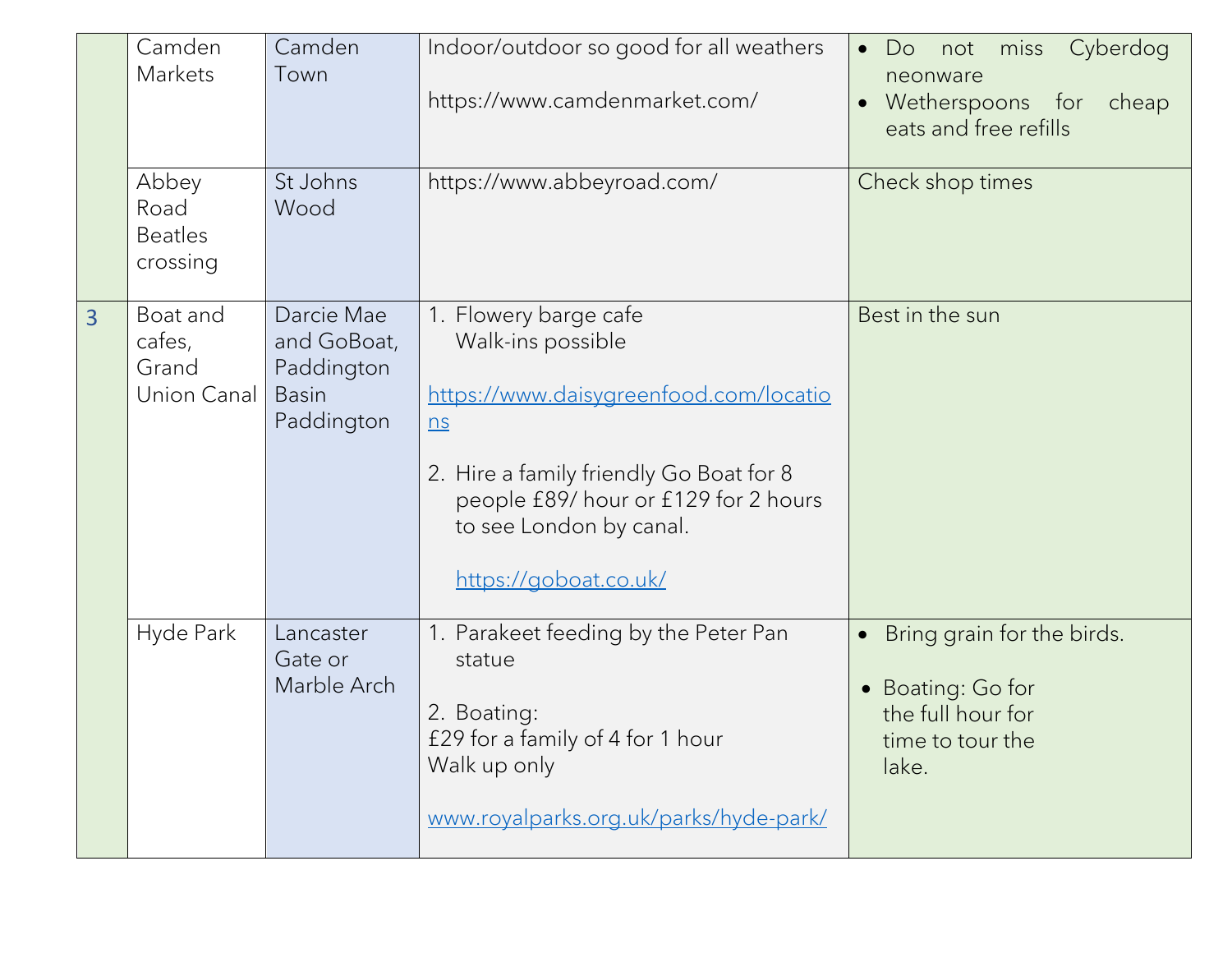|                | Camden<br>Markets                           | Camden<br>Town                                                        | Indoor/outdoor so good for all weathers<br>https://www.camdenmarket.com/                                                                                                                                                           | Cyberdog<br>miss<br>Do<br>$\bullet$<br>not<br>neonware<br>Wetherspoons for<br>cheap<br>$\bullet$<br>eats and free refills |
|----------------|---------------------------------------------|-----------------------------------------------------------------------|------------------------------------------------------------------------------------------------------------------------------------------------------------------------------------------------------------------------------------|---------------------------------------------------------------------------------------------------------------------------|
|                | Abbey<br>Road<br><b>Beatles</b><br>crossing | St Johns<br>Wood                                                      | https://www.abbeyroad.com/                                                                                                                                                                                                         | Check shop times                                                                                                          |
| $\overline{3}$ | Boat and<br>cafes,<br>Grand<br>Union Canal  | Darcie Mae<br>and GoBoat,<br>Paddington<br><b>Basin</b><br>Paddington | 1. Flowery barge cafe<br>Walk-ins possible<br>https://www.daisygreenfood.com/locatio<br>n s<br>2. Hire a family friendly Go Boat for 8<br>people £89/ hour or £129 for 2 hours<br>to see London by canal.<br>https://goboat.co.uk/ | Best in the sun                                                                                                           |
|                | Hyde Park                                   | Lancaster<br>Gate or<br>Marble Arch                                   | 1. Parakeet feeding by the Peter Pan<br>statue<br>2. Boating:<br>£29 for a family of 4 for 1 hour<br>Walk up only<br>www.royalparks.org.uk/parks/hyde-park/                                                                        | Bring grain for the birds.<br>$\bullet$<br>Boating: Go for<br>the full hour for<br>time to tour the<br>lake.              |